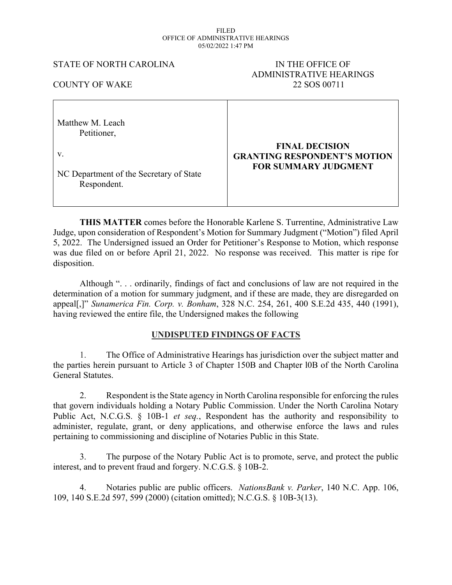#### FILED OFFICE OF ADMINISTRATIVE HEARINGS 05/02/2022 1:47 PM

## STATE OF NORTH CAROLINA IN THE OFFICE OF

# ADMINISTRATIVE HEARINGS COUNTY OF WAKE 22 SOS 00711

| Matthew M. Leach<br>Petitioner,         |                                     |
|-----------------------------------------|-------------------------------------|
| V.                                      | <b>FINAL DECISION</b>               |
| NC Department of the Secretary of State | <b>GRANTING RESPONDENT'S MOTION</b> |
| Respondent.                             | <b>FOR SUMMARY JUDGMENT</b>         |

**THIS MATTER** comes before the Honorable Karlene S. Turrentine, Administrative Law Judge, upon consideration of Respondent's Motion for Summary Judgment ("Motion") filed April 5, 2022. The Undersigned issued an Order for Petitioner's Response to Motion, which response was due filed on or before April 21, 2022. No response was received. This matter is ripe for disposition.

Although ". . . ordinarily, findings of fact and conclusions of law are not required in the determination of a motion for summary judgment, and if these are made, they are disregarded on appeal[,]" *Sunamerica Fin. Corp. v. Bonham*, 328 N.C. 254, 261, 400 S.E.2d 435, 440 (1991), having reviewed the entire file, the Undersigned makes the following

## **UNDISPUTED FINDINGS OF FACTS**

1. The Office of Administrative Hearings has jurisdiction over the subject matter and the parties herein pursuant to Article 3 of Chapter 150B and Chapter l0B of the North Carolina General Statutes.

2. Respondent isthe State agency in North Carolina responsible for enforcing the rules that govern individuals holding a Notary Public Commission. Under the North Carolina Notary Public Act, N.C.G.S. § 10B-1 *et seq.*, Respondent has the authority and responsibility to administer, regulate, grant, or deny applications, and otherwise enforce the laws and rules pertaining to commissioning and discipline of Notaries Public in this State.

3. The purpose of the Notary Public Act is to promote, serve, and protect the public interest, and to prevent fraud and forgery. N.C.G.S. § 10B-2.

4. Notaries public are public officers. *NationsBank v. Parker*, 140 N.C. App. 106, 109, 140 S.E.2d 597, 599 (2000) (citation omitted); N.C.G.S. § 10B-3(13).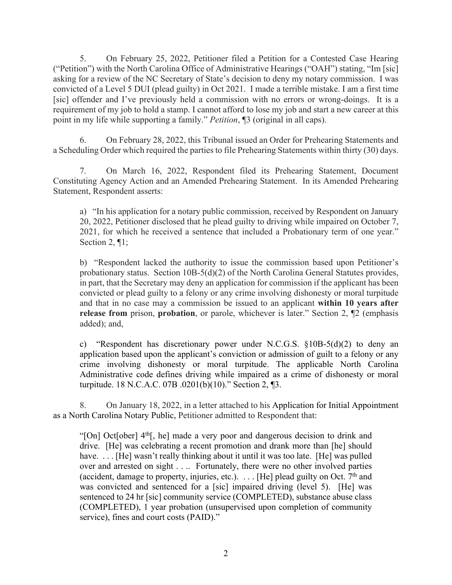5. On February 25, 2022, Petitioner filed a Petition for a Contested Case Hearing ("Petition") with the North Carolina Office of Administrative Hearings ("OAH") stating, "Im [sic] asking for a review of the NC Secretary of State's decision to deny my notary commission. I was convicted of a Level 5 DUI (plead guilty) in Oct 2021. I made a terrible mistake. I am a first time [sic] offender and I've previously held a commission with no errors or wrong-doings. It is a requirement of my job to hold a stamp. I cannot afford to lose my job and start a new career at this point in my life while supporting a family." *Petition*, ¶3 (original in all caps).

6. On February 28, 2022, this Tribunal issued an Order for Prehearing Statements and a Scheduling Order which required the parties to file Prehearing Statements within thirty (30) days.

7. On March 16, 2022, Respondent filed its Prehearing Statement, Document Constituting Agency Action and an Amended Prehearing Statement. In its Amended Prehearing Statement, Respondent asserts:

a) "In his application for a notary public commission, received by Respondent on January 20, 2022, Petitioner disclosed that he plead guilty to driving while impaired on October 7, 2021, for which he received a sentence that included a Probationary term of one year." Section 2, ¶1;

b) "Respondent lacked the authority to issue the commission based upon Petitioner's probationary status. Section 10B-5(d)(2) of the North Carolina General Statutes provides, in part, that the Secretary may deny an application for commission if the applicant has been convicted or plead guilty to a felony or any crime involving dishonesty or moral turpitude and that in no case may a commission be issued to an applicant **within 10 years after release from** prison, **probation**, or parole, whichever is later." Section 2, ¶2 (emphasis added); and,

c) "Respondent has discretionary power under N.C.G.S.  $\S 10B-5(d)(2)$  to deny an application based upon the applicant's conviction or admission of guilt to a felony or any crime involving dishonesty or moral turpitude. The applicable North Carolina Administrative code defines driving while impaired as a crime of dishonesty or moral turpitude. 18 N.C.A.C. 07B .0201(b)(10)." Section 2, ¶3.

8. On January 18, 2022, in a letter attached to his Application for Initial Appointment as a North Carolina Notary Public, Petitioner admitted to Respondent that:

"[On] Oct[ober] 4<sup>th</sup>[, he] made a very poor and dangerous decision to drink and drive. [He] was celebrating a recent promotion and drank more than [he] should have. ... [He] wasn't really thinking about it until it was too late. [He] was pulled over and arrested on sight . . .. Fortunately, there were no other involved parties (accident, damage to property, injuries, etc.).  $\ldots$  [He] plead guilty on Oct. 7<sup>th</sup> and was convicted and sentenced for a [sic] impaired driving (level 5). [He] was sentenced to 24 hr [sic] community service (COMPLETED), substance abuse class (COMPLETED), 1 year probation (unsupervised upon completion of community service), fines and court costs (PAID)."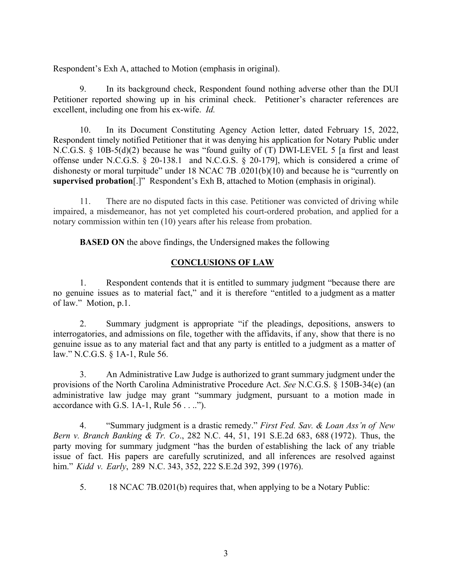Respondent's Exh A, attached to Motion (emphasis in original).

9. In its background check, Respondent found nothing adverse other than the DUI Petitioner reported showing up in his criminal check. Petitioner's character references are excellent, including one from his ex-wife. *Id.*

10. In its Document Constituting Agency Action letter, dated February 15, 2022, Respondent timely notified Petitioner that it was denying his application for Notary Public under N.C.G.S. § 10B-5(d)(2) because he was "found guilty of (T) DWI-LEVEL 5 [a first and least offense under N.C.G.S. § 20-138.1 and N.C.G.S. § 20-179], which is considered a crime of dishonesty or moral turpitude" under 18 NCAC 7B .0201(b)(10) and because he is "currently on **supervised probation**[.]" Respondent's Exh B, attached to Motion (emphasis in original).

11. There are no disputed facts in this case. Petitioner was convicted of driving while impaired, a misdemeanor, has not yet completed his court-ordered probation, and applied for a notary commission within ten (10) years after his release from probation.

**BASED ON** the above findings, the Undersigned makes the following

## **CONCLUSIONS OF LAW**

1. Respondent contends that it is entitled to summary judgment "because there are no genuine issues as to material fact," and it is therefore "entitled to a judgment as a matter of law." Motion, p.1.

2. Summary judgment is appropriate "if the pleadings, depositions, answers to interrogatories, and admissions on file, together with the affidavits, if any, show that there is no genuine issue as to any material fact and that any party is entitled to a judgment as a matter of law." N.C.G.S. § 1A-1, Rule 56.

3. An Administrative Law Judge is authorized to grant summary judgment under the provisions of the North Carolina Administrative Procedure Act. *See* N.C.G.S. § 150B-34(e) (an administrative law judge may grant "summary judgment, pursuant to a motion made in accordance with G.S. 1A-1, Rule 56 . . ..").

4. "Summary judgment is a drastic remedy." *First Fed. Sav. & Loan Ass'n of New Bern v. Branch Banking & Tr. Co*., 282 N.C. 44, 51, 191 S.E.2d 683, 688 (1972). Thus, the party moving for summary judgment "has the burden of establishing the lack of any triable issue of fact. His papers are carefully scrutinized, and all inferences are resolved against him." *Kidd v. Early*, 289 N.C. 343, 352, 222 S.E.2d 392, 399 (1976).

5. 18 NCAC 7B.0201(b) requires that, when applying to be a Notary Public: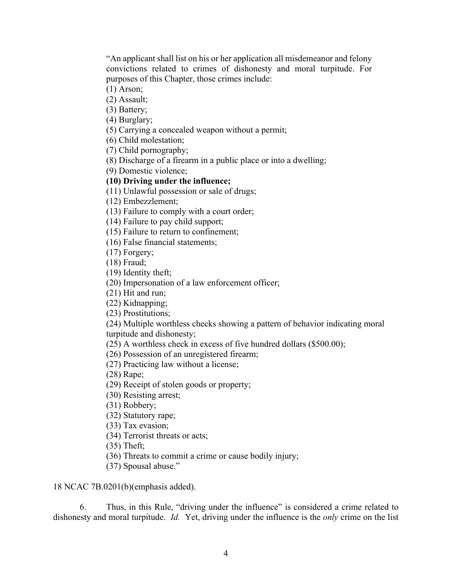"An applicant shall list on his or her application all misdemeanor and felony convictions related to crimes of dishonesty and moral turpitude. For purposes of this Chapter, those crimes include:

(1) Arson;

(2) Assault;

(3) Battery;

(4) Burglary;

(5) Carrying a concealed weapon without a permit;

(6) Child molestation;

(7) Child pornography;

(8) Discharge of a firearm in a public place or into a dwelling;

(9) Domestic violence;

## **(10) Driving under the influence;**

(11) Unlawful possession or sale of drugs;

(12) Embezzlement;

(13) Failure to comply with a court order;

(14) Failure to pay child support;

(15) Failure to return to confinement;

(16) False financial statements;

(17) Forgery;

(18) Fraud;

(19) Identity theft;

(20) Impersonation of a law enforcement officer;

(21) Hit and run;

(22) Kidnapping;

(23) Prostitutions;

(24) Multiple worthless checks showing a pattern of behavior indicating moral turpitude and dishonesty;

(25) A worthless check in excess of five hundred dollars (\$500.00);

(26) Possession of an unregistered firearm;

(27) Practicing law without a license;

(28) Rape;

(29) Receipt of stolen goods or property;

(30) Resisting arrest;

(31) Robbery;

(32) Statutory rape;

(33) Tax evasion;

(34) Terrorist threats or acts;

(35) Theft;

(36) Threats to commit a crime or cause bodily injury;

(37) Spousal abuse."

18 NCAC 7B.0201(b)(emphasis added).

6. Thus, in this Rule, "driving under the influence" is considered a crime related to dishonesty and moral turpitude. *Id.* Yet, driving under the influence is the *only* crime on the list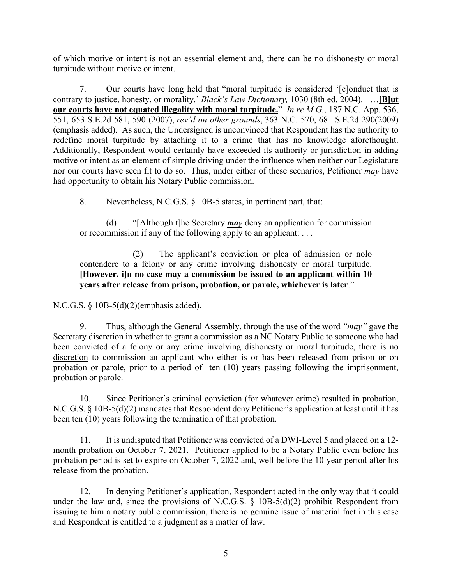of which motive or intent is not an essential element and, there can be no dishonesty or moral turpitude without motive or intent.

7. Our courts have long held that "moral turpitude is considered '[c]onduct that is contrary to justice, honesty, or morality.' *Black's Law Dictionary,* 1030 (8th ed. 2004). …**[B]ut our courts have not equated illegality with moral turpitude.**" *In re M.G.*, 187 N.C. App. 536, 551, 653 S.E.2d 581, 590 (2007), *rev'd on other grounds*, 363 N.C. 570, 681 S.E.2d 290(2009) (emphasis added). As such, the Undersigned is unconvinced that Respondent has the authority to redefine moral turpitude by attaching it to a crime that has no knowledge aforethought. Additionally, Respondent would certainly have exceeded its authority or jurisdiction in adding motive or intent as an element of simple driving under the influence when neither our Legislature nor our courts have seen fit to do so. Thus, under either of these scenarios, Petitioner *may* have had opportunity to obtain his Notary Public commission.

8. Nevertheless, N.C.G.S. § 10B-5 states, in pertinent part, that:

(d) "[Although t]he Secretary *may* deny an application for commission or recommission if any of the following apply to an applicant: . . .

(2) The applicant's conviction or plea of admission or nolo contendere to a felony or any crime involving dishonesty or moral turpitude. **[However, i]n no case may a commission be issued to an applicant within 10 years after release from prison, probation, or parole, whichever is later**."

N.C.G.S. § 10B-5(d)(2)(emphasis added).

9. Thus, although the General Assembly, through the use of the word *"may"* gave the Secretary discretion in whether to grant a commission as a NC Notary Public to someone who had been convicted of a felony or any crime involving dishonesty or moral turpitude, there is no discretion to commission an applicant who either is or has been released from prison or on probation or parole, prior to a period of ten (10) years passing following the imprisonment, probation or parole.

10. Since Petitioner's criminal conviction (for whatever crime) resulted in probation, N.C.G.S. § 10B-5(d)(2) mandates that Respondent deny Petitioner's application at least until it has been ten (10) years following the termination of that probation.

11. It is undisputed that Petitioner was convicted of a DWI-Level 5 and placed on a 12 month probation on October 7, 2021. Petitioner applied to be a Notary Public even before his probation period is set to expire on October 7, 2022 and, well before the 10-year period after his release from the probation.

12. In denying Petitioner's application, Respondent acted in the only way that it could under the law and, since the provisions of N.C.G.S.  $\S$  10B-5(d)(2) prohibit Respondent from issuing to him a notary public commission, there is no genuine issue of material fact in this case and Respondent is entitled to a judgment as a matter of law.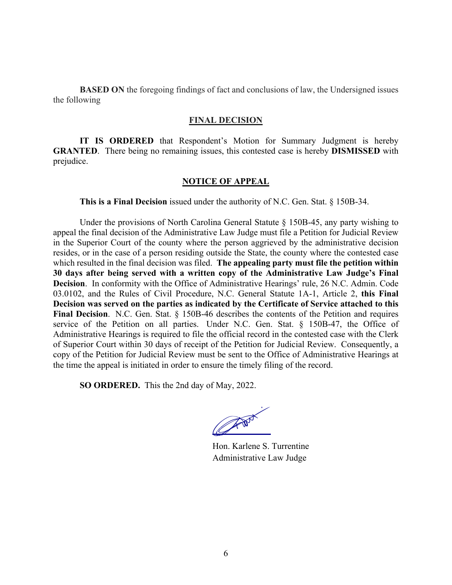**BASED ON** the foregoing findings of fact and conclusions of law, the Undersigned issues the following

#### **FINAL DECISION**

**IT IS ORDERED** that Respondent's Motion for Summary Judgment is hereby **GRANTED**. There being no remaining issues, this contested case is hereby **DISMISSED** with prejudice.

## **NOTICE OF APPEAL**

**This is a Final Decision** issued under the authority of N.C. Gen. Stat. § 150B-34.

Under the provisions of North Carolina General Statute § 150B-45, any party wishing to appeal the final decision of the Administrative Law Judge must file a Petition for Judicial Review in the Superior Court of the county where the person aggrieved by the administrative decision resides, or in the case of a person residing outside the State, the county where the contested case which resulted in the final decision was filed. **The appealing party must file the petition within 30 days after being served with a written copy of the Administrative Law Judge's Final Decision**. In conformity with the Office of Administrative Hearings' rule, 26 N.C. Admin. Code 03.0102, and the Rules of Civil Procedure, N.C. General Statute 1A-1, Article 2, **this Final Decision was served on the parties as indicated by the Certificate of Service attached to this Final Decision**. N.C. Gen. Stat. § 150B-46 describes the contents of the Petition and requires service of the Petition on all parties. Under N.C. Gen. Stat. § 150B-47, the Office of Administrative Hearings is required to file the official record in the contested case with the Clerk of Superior Court within 30 days of receipt of the Petition for Judicial Review. Consequently, a copy of the Petition for Judicial Review must be sent to the Office of Administrative Hearings at the time the appeal is initiated in order to ensure the timely filing of the record.

**SO ORDERED.** This the 2nd day of May, 2022.

CANNY ROAD

Hon. Karlene S. Turrentine Administrative Law Judge